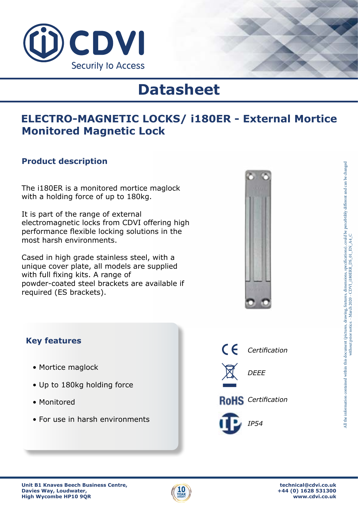

# **Datasheet**

## **ELECTRO-MAGNETIC LOCKS/ i180ER - External Mortice Monitored Magnetic Lock**

#### **Product description**

The i180ER is a monitored mortice maglock with a holding force of up to 180kg.

It is part of the range of external electromagnetic locks from CDVI offering high performance flexible locking solutions in the most harsh environments.

Cased in high grade stainless steel, with a unique cover plate, all models are supplied with full fixing kits. A range of powder-coated steel brackets are available if required (ES brackets).



#### **Key features**

- Mortice maglock
- Up to 180kg holding force
- Monitored
- For use in harsh environments

 $C \subseteq$ *Certification DEEE* **RoHS** Certification *IP54*